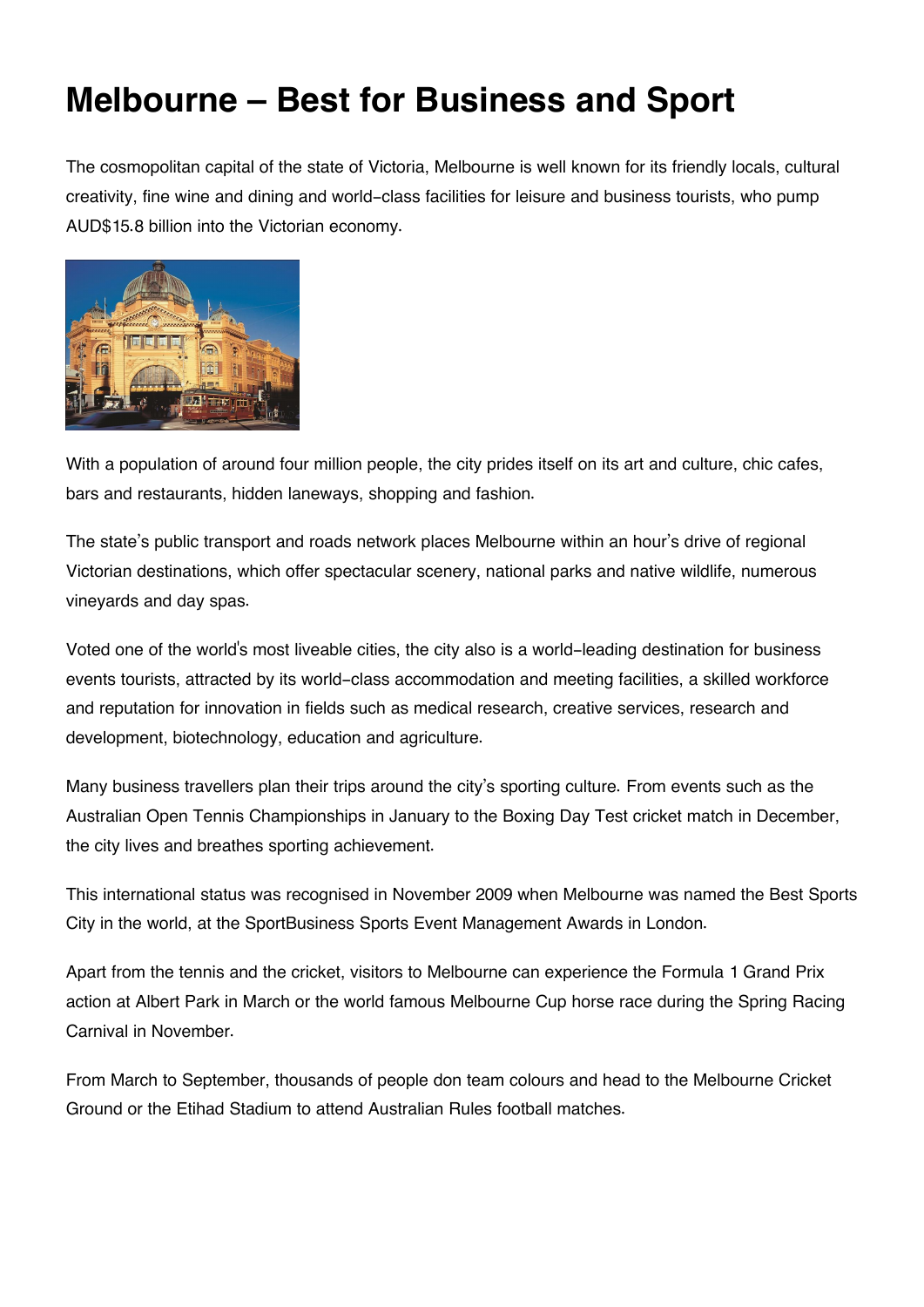## **Melbourne – Best for Business and Sport**

The cosmopolitan capital of the state of Victoria, Melbourne is well known for its friendly locals, cultural creativity, fine wine and dining and world-class facilities for leisure and business tourists, who pump AUD\$15.8 billion into the Victorian economy.



With a population of around four million people, the city prides itself on its art and culture, chic cafes, bars and restaurants, hidden laneways, shopping and fashion.

The state's public transport and roads network places Melbourne within an hour's drive of regional Victorian destinations, which offer spectacular scenery, national parks and native wildlife, numerous vineyards and day spas.

Voted one of the world's most liveable cities, the city also is a world-leading destination for business events tourists, attracted by its world-class accommodation and meeting facilities, a skilled workforce and reputation for innovation in fields such as medical research, creative services, research and development, biotechnology, education and agriculture.

Many business travellers plan their trips around the city's sporting culture. From events such as the Australian Open Tennis Championships in January to the Boxing Day Test cricket match in December, the city lives and breathes sporting achievement.

This international status was recognised in November 2009 when Melbourne was named the Best Sports City in the world, at the SportBusiness Sports Event Management Awards in London.

Apart from the tennis and the cricket, visitors to Melbourne can experience the Formula 1 Grand Prix action at Albert Park in March or the world famous Melbourne Cup horse race during the Spring Racing Carnival in November.

From March to September, thousands of people don team colours and head to the Melbourne Cricket Ground or the Etihad Stadium to attend Australian Rules football matches.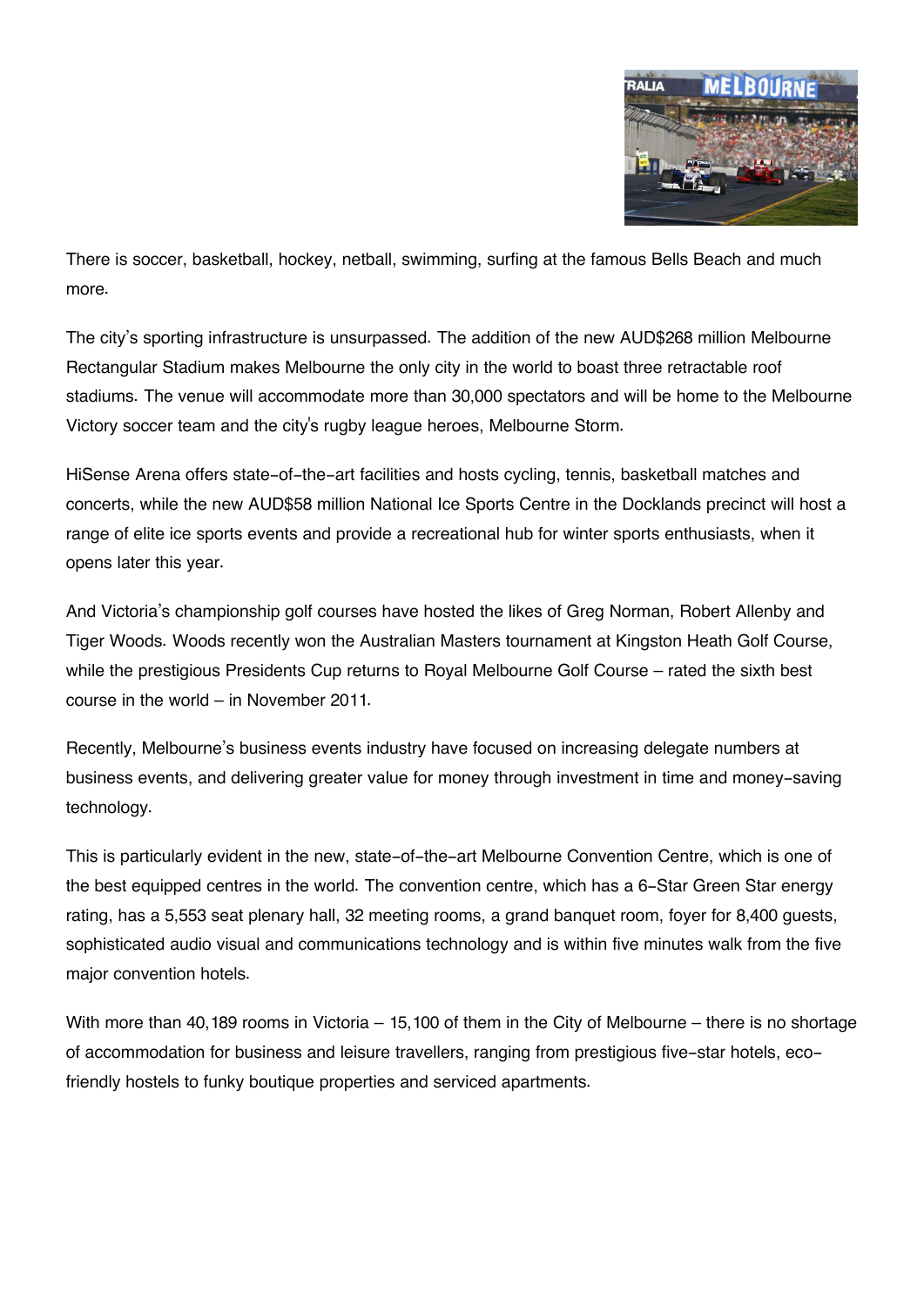

There is soccer, basketball, hockey, netball, swimming, surfing at the famous Bells Beach and much more.

The city's sporting infrastructure is unsurpassed. The addition of the new AUD\$268 million Melbourne Rectangular Stadium makes Melbourne the only city in the world to boast three retractable roof stadiums. The venue will accommodate more than 30,000 spectators and will be home to the Melbourne Victory soccer team and the city's rugby league heroes, Melbourne Storm.

HiSense Arena offers state-of-the-art facilities and hosts cycling, tennis, basketball matches and concerts, while the new AUD\$58 million National Ice Sports Centre in the Docklands precinct will host a range of elite ice sports events and provide a recreational hub for winter sports enthusiasts, when it opens later this year.

And Victoria's championship golf courses have hosted the likes of Greg Norman, Robert Allenby and Tiger Woods. Woods recently won the Australian Masters tournament at Kingston Heath Golf Course, while the prestigious Presidents Cup returns to Royal Melbourne Golf Course – rated the sixth best course in the world – in November 2011.

Recently, Melbourne's business events industry have focused on increasing delegate numbers at business events, and delivering greater value for money through investment in time and money-saving technology.

This is particularly evident in the new, state-of-the-art Melbourne Convention Centre, which is one of the best equipped centres in the world. The convention centre, which has a 6-Star Green Star energy rating, has a 5,553 seat plenary hall, 32 meeting rooms, a grand banquet room, foyer for 8,400 guests, sophisticated audio visual and communications technology and is within five minutes walk from the five major convention hotels.

With more than 40,189 rooms in Victoria – 15,100 of them in the City of Melbourne – there is no shortage of accommodation for business and leisure travellers, ranging from prestigious five-star hotels, ecofriendly hostels to funky boutique properties and serviced apartments.